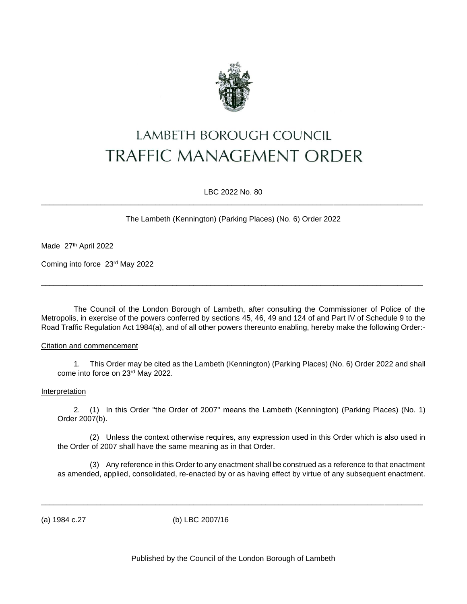

# LAMBETH BOROUGH COUNCIL **TRAFFIC MANAGEMENT ORDER**

LBC 2022 No. 80 \_\_\_\_\_\_\_\_\_\_\_\_\_\_\_\_\_\_\_\_\_\_\_\_\_\_\_\_\_\_\_\_\_\_\_\_\_\_\_\_\_\_\_\_\_\_\_\_\_\_\_\_\_\_\_\_\_\_\_\_\_\_\_\_\_\_\_\_\_\_\_\_\_\_\_\_\_\_\_\_\_\_\_\_\_\_\_\_\_\_

The Lambeth (Kennington) (Parking Places) (No. 6) Order 2022

Made 27th April 2022

Coming into force 23rd May 2022

The Council of the London Borough of Lambeth, after consulting the Commissioner of Police of the Metropolis, in exercise of the powers conferred by sections 45, 46, 49 and 124 of and Part IV of Schedule 9 to the Road Traffic Regulation Act 1984(a), and of all other powers thereunto enabling, hereby make the following Order:-

\_\_\_\_\_\_\_\_\_\_\_\_\_\_\_\_\_\_\_\_\_\_\_\_\_\_\_\_\_\_\_\_\_\_\_\_\_\_\_\_\_\_\_\_\_\_\_\_\_\_\_\_\_\_\_\_\_\_\_\_\_\_\_\_\_\_\_\_\_\_\_\_\_\_\_\_\_\_\_\_\_\_\_\_\_\_\_\_\_\_

### Citation and commencement

1. This Order may be cited as the Lambeth (Kennington) (Parking Places) (No. 6) Order 2022 and shall come into force on 23rd May 2022.

#### Interpretation

2. (1) In this Order "the Order of 2007" means the Lambeth (Kennington) (Parking Places) (No. 1) Order 2007(b).

(2) Unless the context otherwise requires, any expression used in this Order which is also used in the Order of 2007 shall have the same meaning as in that Order.

(3) Any reference in this Order to any enactment shall be construed as a reference to that enactment as amended, applied, consolidated, re-enacted by or as having effect by virtue of any subsequent enactment.

(a) 1984 c.27 (b) LBC 2007/16

\_\_\_\_\_\_\_\_\_\_\_\_\_\_\_\_\_\_\_\_\_\_\_\_\_\_\_\_\_\_\_\_\_\_\_\_\_\_\_\_\_\_\_\_\_\_\_\_\_\_\_\_\_\_\_\_\_\_\_\_\_\_\_\_\_\_\_\_\_\_\_\_\_\_\_\_\_\_\_\_\_\_\_\_\_\_\_\_\_\_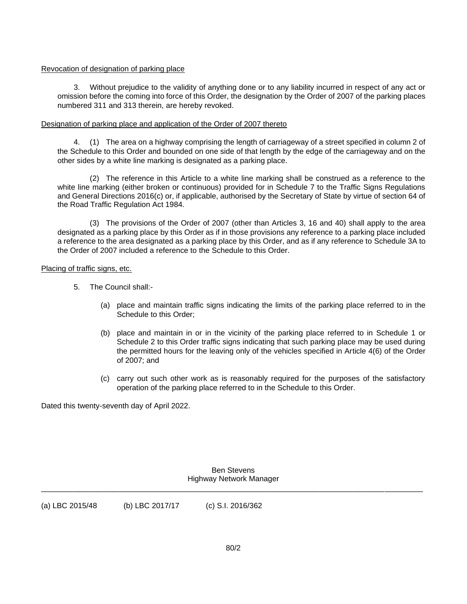### Revocation of designation of parking place

3. Without prejudice to the validity of anything done or to any liability incurred in respect of any act or omission before the coming into force of this Order, the designation by the Order of 2007 of the parking places numbered 311 and 313 therein, are hereby revoked.

## Designation of parking place and application of the Order of 2007 thereto

4. (1) The area on a highway comprising the length of carriageway of a street specified in column 2 of the Schedule to this Order and bounded on one side of that length by the edge of the carriageway and on the other sides by a white line marking is designated as a parking place.

(2) The reference in this Article to a white line marking shall be construed as a reference to the white line marking (either broken or continuous) provided for in Schedule 7 to the Traffic Signs Regulations and General Directions 2016(c) or, if applicable, authorised by the Secretary of State by virtue of section 64 of the Road Traffic Regulation Act 1984.

(3) The provisions of the Order of 2007 (other than Articles 3, 16 and 40) shall apply to the area designated as a parking place by this Order as if in those provisions any reference to a parking place included a reference to the area designated as a parking place by this Order, and as if any reference to Schedule 3A to the Order of 2007 included a reference to the Schedule to this Order.

## Placing of traffic signs, etc.

- 5. The Council shall:-
	- (a) place and maintain traffic signs indicating the limits of the parking place referred to in the Schedule to this Order;
	- (b) place and maintain in or in the vicinity of the parking place referred to in Schedule 1 or Schedule 2 to this Order traffic signs indicating that such parking place may be used during the permitted hours for the leaving only of the vehicles specified in Article 4(6) of the Order of 2007; and
	- (c) carry out such other work as is reasonably required for the purposes of the satisfactory operation of the parking place referred to in the Schedule to this Order.

Dated this twenty-seventh day of April 2022.

Ben Stevens Highway Network Manager \_\_\_\_\_\_\_\_\_\_\_\_\_\_\_\_\_\_\_\_\_\_\_\_\_\_\_\_\_\_\_\_\_\_\_\_\_\_\_\_\_\_\_\_\_\_\_\_\_\_\_\_\_\_\_\_\_\_\_\_\_\_\_\_\_\_\_\_\_\_\_\_\_\_\_\_\_\_\_\_\_\_\_\_\_\_\_\_\_\_

(a) LBC 2015/48 (b) LBC 2017/17 (c) S.I. 2016/362